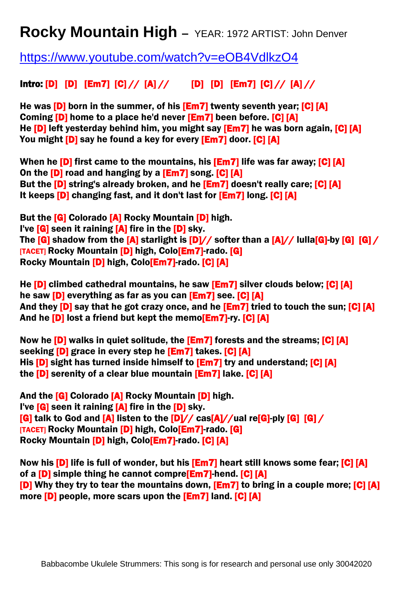## **Rocky Mountain High –** YEAR: 1972 ARTIST: John Denver

<https://www.youtube.com/watch?v=eOB4VdlkzO4>

## Intro: [D] [D]  $[Em7]$   $[C]//$   $[A]//$   $[D]$   $[D]$   $[Em7]$   $[C]//$   $[A]//$

He was **[D]** born in the summer, of his **[Em7]** twenty seventh year; **[C] [A]** Coming **[D]** home to a place he'd never **[Em7]** been before. **[C] [A]** He **[D]** left yesterday behind him, you might say **[Em7]** he was born again, **[C] [A]** You might [D] say he found a key for every [Em7] door. [C] [A]

When he **[D]** first came to the mountains, his **[Em7]** life was far away; **[C] [A]** On the [D] road and hanging by a [Em7] song. [C] [A] But the [D] string's already broken, and he [Em7] doesn't really care; [C] [A] It keeps **[D]** changing fast, and it don't last for **[Em7]** long. **[C] [A]** 

But the **[G]** Colorado **[A]** Rocky Mountain **[D]** high. I've  $[G]$  seen it raining  $[A]$  fire in the  $[D]$  sky. The  $[G]$  shadow from the  $[A]$  starlight is  $[D]/\prime$  softer than a  $[A]/\prime$  lulla[G]-by  $[G]$  [G]  $\prime$ [TACET] Rocky Mountain [D] high, Colo[Em7]-rado. [G] Rocky Mountain [D] high, Colo<sup>[Em7]-rado.</sup> [C] [A]

He **[D]** climbed cathedral mountains, he saw **[Em7]** silver clouds below; **[C] [A]** he saw [D] everything as far as you can [Em7] see. [C] [A] And they **[D]** say that he got crazy once, and he **[Em7]** tried to touch the sun; **[C] [A]** And he **[D]** lost a friend but kept the memo**[Em7]-ry. [C] [A]** 

Now he **[D]** walks in quiet solitude, the **[Em7]** forests and the streams; **[C] [A]** seeking [D] grace in every step he [Em7] takes. [C] [A] His **[D]** sight has turned inside himself to **[Em7]** try and understand; **[C] [A]** the [D] serenity of a clear blue mountain [Em7] lake. [C] [A]

And the **[G]** Colorado **[A]** Rocky Mountain **[D]** high. I've **[G]** seen it raining **[A]** fire in the **[D]** sky.  $[G]$  talk to God and  $[A]$  listen to the  $[D]/\sqrt{cas[A]/(val re[G]}$ -ply  $[G]$   $[G]$ [TACET] Rocky Mountain [D] high, Colo[Em7]-rado. [G] Rocky Mountain [D] high, Colo<sup>[Em7]-rado.</sup> [C] [A]

Now his **[D]** life is full of wonder, but his **[Em7]** heart still knows some fear; **[C] [A]** of a **[D]** simple thing he cannot compre<sup>[Em7]-</sup>hend. **[C]** [A] [D] Why they try to tear the mountains down, **[Em7]** to bring in a couple more; [C] [A] more **[D]** people, more scars upon the **[Em7]** land. **[C] [A]**